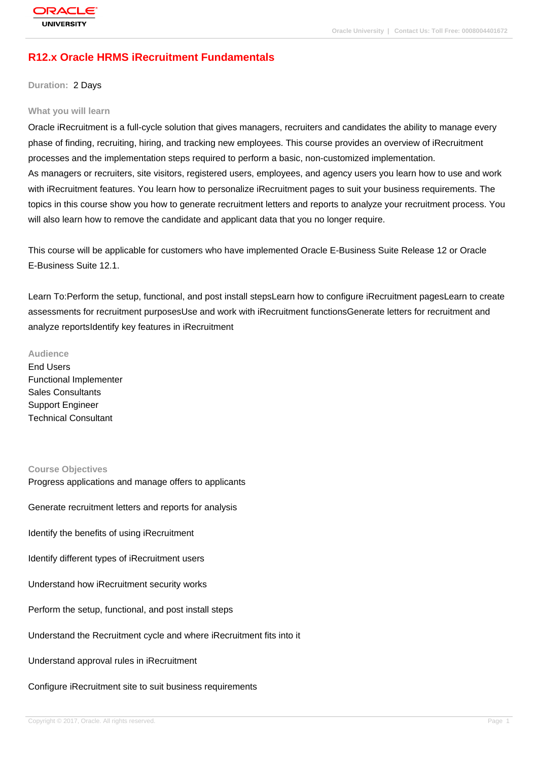# **R12.x Oracle HRMS iRecruitment Fundamentals**

**Duration:** 2 Days

#### **What you will learn**

Oracle iRecruitment is a full-cycle solution that gives managers, recruiters and candidates the ability to manage every phase of finding, recruiting, hiring, and tracking new employees. This course provides an overview of iRecruitment processes and the implementation steps required to perform a basic, non-customized implementation. As managers or recruiters, site visitors, registered users, employees, and agency users you learn how to use and work with iRecruitment features. You learn how to personalize iRecruitment pages to suit your business requirements. The topics in this course show you how to generate recruitment letters and reports to analyze your recruitment process. You will also learn how to remove the candidate and applicant data that you no longer require.

This course will be applicable for customers who have implemented Oracle E-Business Suite Release 12 or Oracle E-Business Suite 12.1.

Learn To:Perform the setup, functional, and post install stepsLearn how to configure iRecruitment pagesLearn to create assessments for recruitment purposesUse and work with iRecruitment functionsGenerate letters for recruitment and analyze reportsIdentify key features in iRecruitment

#### **Audience**

End Users Functional Implementer Sales Consultants Support Engineer Technical Consultant

#### **Course Objectives**

Progress applications and manage offers to applicants Generate recruitment letters and reports for analysis Identify the benefits of using iRecruitment Identify different types of iRecruitment users Understand how iRecruitment security works Perform the setup, functional, and post install steps Understand the Recruitment cycle and where iRecruitment fits into it Understand approval rules in iRecruitment Configure iRecruitment site to suit business requirements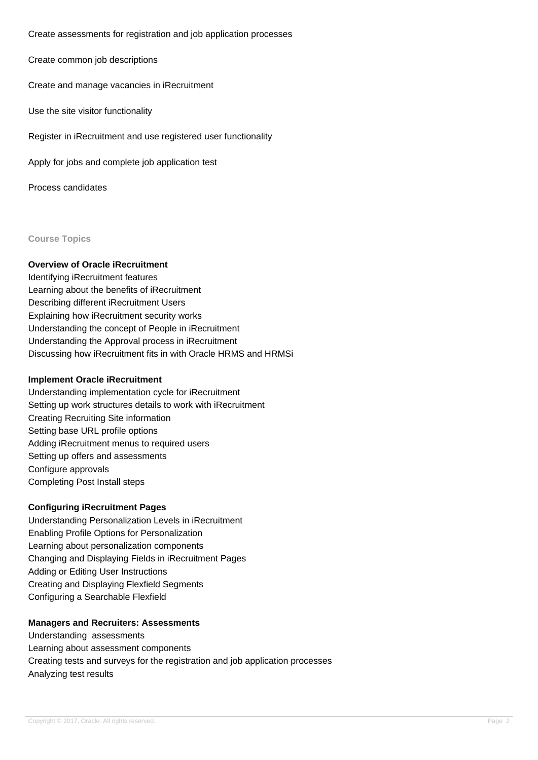Create assessments for registration and job application processes

Create common job descriptions

Create and manage vacancies in iRecruitment

Use the site visitor functionality

Register in iRecruitment and use registered user functionality

Apply for jobs and complete job application test

Process candidates

#### **Course Topics**

## **Overview of Oracle iRecruitment**

Identifying iRecruitment features Learning about the benefits of iRecruitment Describing different iRecruitment Users Explaining how iRecruitment security works Understanding the concept of People in iRecruitment Understanding the Approval process in iRecruitment Discussing how iRecruitment fits in with Oracle HRMS and HRMSi

#### **Implement Oracle iRecruitment**

Understanding implementation cycle for iRecruitment Setting up work structures details to work with iRecruitment Creating Recruiting Site information Setting base URL profile options Adding iRecruitment menus to required users Setting up offers and assessments Configure approvals Completing Post Install steps

## **Configuring iRecruitment Pages**

Understanding Personalization Levels in iRecruitment Enabling Profile Options for Personalization Learning about personalization components Changing and Displaying Fields in iRecruitment Pages Adding or Editing User Instructions Creating and Displaying Flexfield Segments Configuring a Searchable Flexfield

## **Managers and Recruiters: Assessments**

Understanding assessments Learning about assessment components Creating tests and surveys for the registration and job application processes Analyzing test results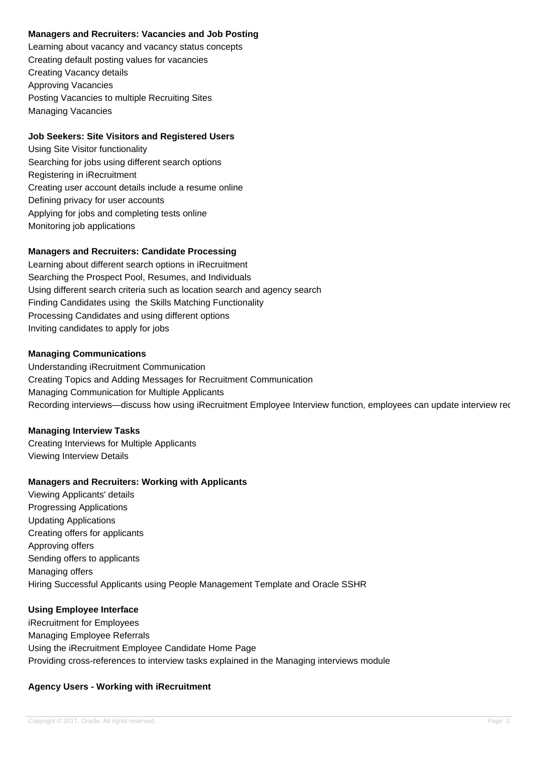## **Managers and Recruiters: Vacancies and Job Posting**

Learning about vacancy and vacancy status concepts Creating default posting values for vacancies Creating Vacancy details Approving Vacancies Posting Vacancies to multiple Recruiting Sites Managing Vacancies

## **Job Seekers: Site Visitors and Registered Users**

Using Site Visitor functionality Searching for jobs using different search options Registering in iRecruitment Creating user account details include a resume online Defining privacy for user accounts Applying for jobs and completing tests online Monitoring job applications

## **Managers and Recruiters: Candidate Processing**

Learning about different search options in iRecruitment Searching the Prospect Pool, Resumes, and Individuals Using different search criteria such as location search and agency search Finding Candidates using the Skills Matching Functionality Processing Candidates and using different options Inviting candidates to apply for jobs

## **Managing Communications**

Understanding iRecruitment Communication Creating Topics and Adding Messages for Recruitment Communication Managing Communication for Multiple Applicants Recording interviews—discuss how using iRecruitment Employee Interview function, employees can update interview rec

## **Managing Interview Tasks**

Creating Interviews for Multiple Applicants Viewing Interview Details

## **Managers and Recruiters: Working with Applicants**

Viewing Applicants' details Progressing Applications Updating Applications Creating offers for applicants Approving offers Sending offers to applicants Managing offers Hiring Successful Applicants using People Management Template and Oracle SSHR

## **Using Employee Interface**

iRecruitment for Employees Managing Employee Referrals Using the iRecruitment Employee Candidate Home Page Providing cross-references to interview tasks explained in the Managing interviews module

## **Agency Users - Working with iRecruitment**